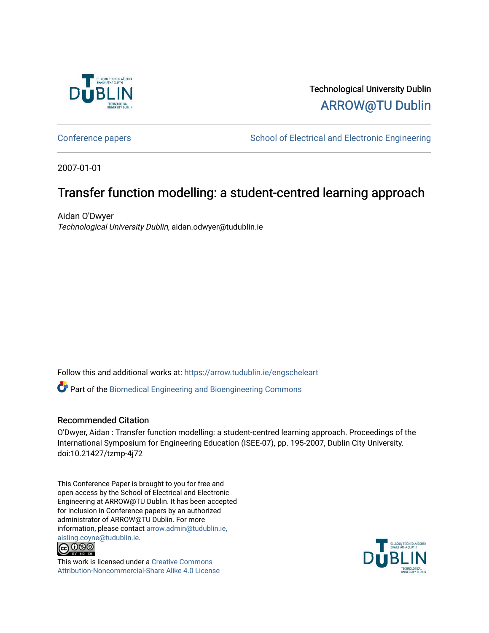

## Technological University Dublin [ARROW@TU Dublin](https://arrow.tudublin.ie/)

[Conference papers](https://arrow.tudublin.ie/engscheleart) **School of Electrical and Electronic Engineering** 

2007-01-01

# Transfer function modelling: a student-centred learning approach

Aidan O'Dwyer Technological University Dublin, aidan.odwyer@tudublin.ie

Follow this and additional works at: [https://arrow.tudublin.ie/engscheleart](https://arrow.tudublin.ie/engscheleart?utm_source=arrow.tudublin.ie%2Fengscheleart%2F14&utm_medium=PDF&utm_campaign=PDFCoverPages) 

Part of the [Biomedical Engineering and Bioengineering Commons](http://network.bepress.com/hgg/discipline/229?utm_source=arrow.tudublin.ie%2Fengscheleart%2F14&utm_medium=PDF&utm_campaign=PDFCoverPages) 

## Recommended Citation

O'Dwyer, Aidan : Transfer function modelling: a student-centred learning approach. Proceedings of the International Symposium for Engineering Education (ISEE-07), pp. 195-2007, Dublin City University. doi:10.21427/tzmp-4j72

This Conference Paper is brought to you for free and open access by the School of Electrical and Electronic Engineering at ARROW@TU Dublin. It has been accepted for inclusion in Conference papers by an authorized administrator of ARROW@TU Dublin. For more information, please contact [arrow.admin@tudublin.ie,](mailto:arrow.admin@tudublin.ie,%20aisling.coyne@tudublin.ie)  [aisling.coyne@tudublin.ie.](mailto:arrow.admin@tudublin.ie,%20aisling.coyne@tudublin.ie)<br>© 090



This work is licensed under a [Creative Commons](http://creativecommons.org/licenses/by-nc-sa/4.0/) [Attribution-Noncommercial-Share Alike 4.0 License](http://creativecommons.org/licenses/by-nc-sa/4.0/)

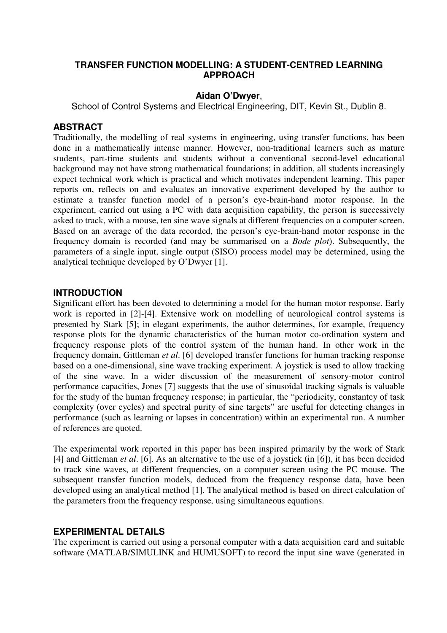## **TRANSFER FUNCTION MODELLING: A STUDENT-CENTRED LEARNING APPROACH**

#### **Aidan O'Dwyer**,

School of Control Systems and Electrical Engineering, DIT, Kevin St., Dublin 8.

#### **ABSTRACT**

Traditionally, the modelling of real systems in engineering, using transfer functions, has been done in a mathematically intense manner. However, non-traditional learners such as mature students, part-time students and students without a conventional second-level educational background may not have strong mathematical foundations; in addition, all students increasingly expect technical work which is practical and which motivates independent learning. This paper reports on, reflects on and evaluates an innovative experiment developed by the author to estimate a transfer function model of a person's eye-brain-hand motor response. In the experiment, carried out using a PC with data acquisition capability, the person is successively asked to track, with a mouse, ten sine wave signals at different frequencies on a computer screen. Based on an average of the data recorded, the person's eye-brain-hand motor response in the frequency domain is recorded (and may be summarised on a *Bode plot*). Subsequently, the parameters of a single input, single output (SISO) process model may be determined, using the analytical technique developed by O'Dwyer [1].

## **INTRODUCTION**

Significant effort has been devoted to determining a model for the human motor response. Early work is reported in [2]-[4]. Extensive work on modelling of neurological control systems is presented by Stark [5]; in elegant experiments, the author determines, for example, frequency response plots for the dynamic characteristics of the human motor co-ordination system and frequency response plots of the control system of the human hand. In other work in the frequency domain, Gittleman *et al*. [6] developed transfer functions for human tracking response based on a one-dimensional, sine wave tracking experiment. A joystick is used to allow tracking of the sine wave. In a wider discussion of the measurement of sensory-motor control performance capacities, Jones [7] suggests that the use of sinusoidal tracking signals is valuable for the study of the human frequency response; in particular, the "periodicity, constantcy of task complexity (over cycles) and spectral purity of sine targets" are useful for detecting changes in performance (such as learning or lapses in concentration) within an experimental run. A number of references are quoted.

The experimental work reported in this paper has been inspired primarily by the work of Stark [4] and Gittleman *et al*. [6]. As an alternative to the use of a joystick (in [6]), it has been decided to track sine waves, at different frequencies, on a computer screen using the PC mouse. The subsequent transfer function models, deduced from the frequency response data, have been developed using an analytical method [1]. The analytical method is based on direct calculation of the parameters from the frequency response, using simultaneous equations.

#### **EXPERIMENTAL DETAILS**

The experiment is carried out using a personal computer with a data acquisition card and suitable software (MATLAB/SIMULINK and HUMUSOFT) to record the input sine wave (generated in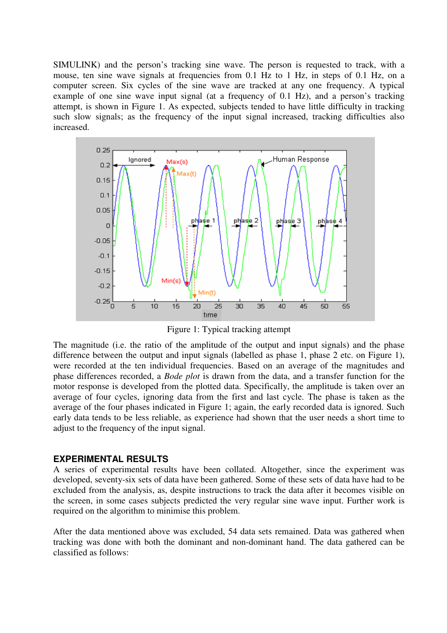SIMULINK) and the person's tracking sine wave. The person is requested to track, with a mouse, ten sine wave signals at frequencies from 0.1 Hz to 1 Hz, in steps of 0.1 Hz, on a computer screen. Six cycles of the sine wave are tracked at any one frequency. A typical example of one sine wave input signal (at a frequency of 0.1 Hz), and a person's tracking attempt, is shown in Figure 1. As expected, subjects tended to have little difficulty in tracking such slow signals; as the frequency of the input signal increased, tracking difficulties also increased.



Figure 1: Typical tracking attempt

The magnitude (i.e. the ratio of the amplitude of the output and input signals) and the phase difference between the output and input signals (labelled as phase 1, phase 2 etc. on Figure 1), were recorded at the ten individual frequencies. Based on an average of the magnitudes and phase differences recorded, a *Bode plot* is drawn from the data, and a transfer function for the motor response is developed from the plotted data. Specifically, the amplitude is taken over an average of four cycles, ignoring data from the first and last cycle. The phase is taken as the average of the four phases indicated in Figure 1; again, the early recorded data is ignored. Such early data tends to be less reliable, as experience had shown that the user needs a short time to adjust to the frequency of the input signal.

## **EXPERIMENTAL RESULTS**

A series of experimental results have been collated. Altogether, since the experiment was developed, seventy-six sets of data have been gathered. Some of these sets of data have had to be excluded from the analysis, as, despite instructions to track the data after it becomes visible on the screen, in some cases subjects predicted the very regular sine wave input. Further work is required on the algorithm to minimise this problem.

After the data mentioned above was excluded, 54 data sets remained. Data was gathered when tracking was done with both the dominant and non-dominant hand. The data gathered can be classified as follows: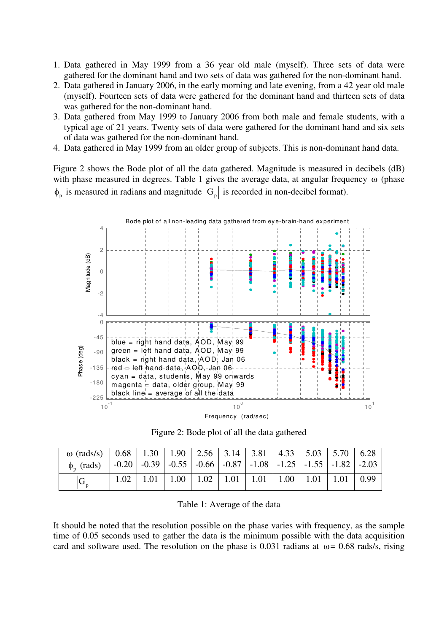- 1. Data gathered in May 1999 from a 36 year old male (myself). Three sets of data were gathered for the dominant hand and two sets of data was gathered for the non-dominant hand.
- 2. Data gathered in January 2006, in the early morning and late evening, from a 42 year old male (myself). Fourteen sets of data were gathered for the dominant hand and thirteen sets of data was gathered for the non-dominant hand.
- 3. Data gathered from May 1999 to January 2006 from both male and female students, with a typical age of 21 years. Twenty sets of data were gathered for the dominant hand and six sets of data was gathered for the non-dominant hand.
- 4. Data gathered in May 1999 from an older group of subjects. This is non-dominant hand data.

Figure 2 shows the Bode plot of all the data gathered. Magnitude is measured in decibels (dB) with phase measured in degrees. Table 1 gives the average data, at angular frequency ω (phase  $\phi_p$  is measured in radians and magnitude  $|G_p|$  is recorded in non-decibel format).



Figure 2: Bode plot of all the data gathered

| $\omega$ (rads/s)   0.68   1.30   1.90   2.56   3.14   3.81   4.33   5.03   5.70   6.28 |  |                                                                                                                                             |  |  |  |
|-----------------------------------------------------------------------------------------|--|---------------------------------------------------------------------------------------------------------------------------------------------|--|--|--|
| $\phi_{n}$ (rads)                                                                       |  | $\vert$ -0.20 $\vert$ -0.39 $\vert$ -0.55 $\vert$ -0.66 $\vert$ -0.87 $\vert$ -1.08 $\vert$ -1.25 $\vert$ -1.55 $\vert$ -1.82 $\vert$ -2.03 |  |  |  |
| $ G_{\mathfrak{p}} $                                                                    |  | $1.02$   1.01   1.00   1.02   1.01   1.01   1.00   1.01   1.01   0.99                                                                       |  |  |  |

Table 1: Average of the data

It should be noted that the resolution possible on the phase varies with frequency, as the sample time of 0.05 seconds used to gather the data is the minimum possible with the data acquisition card and software used. The resolution on the phase is 0.031 radians at  $\omega$  = 0.68 rads/s, rising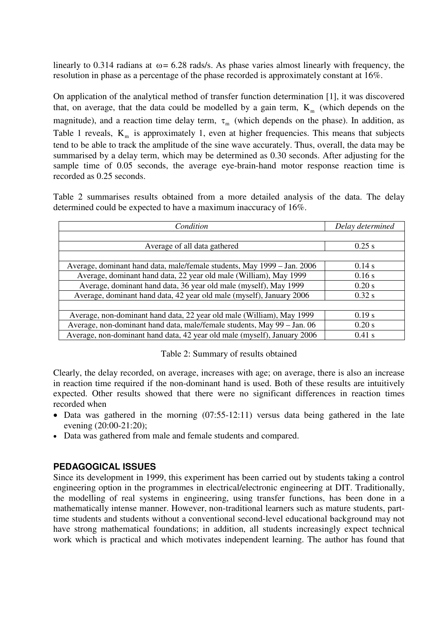linearly to 0.314 radians at  $\omega$  = 6.28 rads/s. As phase varies almost linearly with frequency, the resolution in phase as a percentage of the phase recorded is approximately constant at 16%.

On application of the analytical method of transfer function determination [1], it was discovered that, on average, that the data could be modelled by a gain term,  $K<sub>m</sub>$  (which depends on the magnitude), and a reaction time delay term,  $\tau_m$  (which depends on the phase). In addition, as Table 1 reveals,  $K_m$  is approximately 1, even at higher frequencies. This means that subjects tend to be able to track the amplitude of the sine wave accurately. Thus, overall, the data may be summarised by a delay term, which may be determined as 0.30 seconds. After adjusting for the sample time of 0.05 seconds, the average eye-brain-hand motor response reaction time is recorded as 0.25 seconds.

Table 2 summarises results obtained from a more detailed analysis of the data. The delay determined could be expected to have a maximum inaccuracy of 16%.

| Condition                                                                | Delay determined |  |  |
|--------------------------------------------------------------------------|------------------|--|--|
|                                                                          |                  |  |  |
| Average of all data gathered                                             | $0.25$ s         |  |  |
|                                                                          |                  |  |  |
| Average, dominant hand data, male/female students, May 1999 - Jan. 2006  | 0.14 s           |  |  |
| Average, dominant hand data, 22 year old male (William), May 1999        | $0.16$ s         |  |  |
| Average, dominant hand data, 36 year old male (myself), May 1999         | 0.20 s           |  |  |
| Average, dominant hand data, 42 year old male (myself), January 2006     | 0.32 s           |  |  |
|                                                                          |                  |  |  |
| Average, non-dominant hand data, 22 year old male (William), May 1999    | 0.19 s           |  |  |
| Average, non-dominant hand data, male/female students, May 99 - Jan. 06  | 0.20 s           |  |  |
| Average, non-dominant hand data, 42 year old male (myself), January 2006 | $0.41$ s         |  |  |

#### Table 2: Summary of results obtained

Clearly, the delay recorded, on average, increases with age; on average, there is also an increase in reaction time required if the non-dominant hand is used. Both of these results are intuitively expected. Other results showed that there were no significant differences in reaction times recorded when

- Data was gathered in the morning (07:55-12:11) versus data being gathered in the late evening (20:00-21:20);
- Data was gathered from male and female students and compared.

## **PEDAGOGICAL ISSUES**

Since its development in 1999, this experiment has been carried out by students taking a control engineering option in the programmes in electrical/electronic engineering at DIT. Traditionally, the modelling of real systems in engineering, using transfer functions, has been done in a mathematically intense manner. However, non-traditional learners such as mature students, parttime students and students without a conventional second-level educational background may not have strong mathematical foundations; in addition, all students increasingly expect technical work which is practical and which motivates independent learning. The author has found that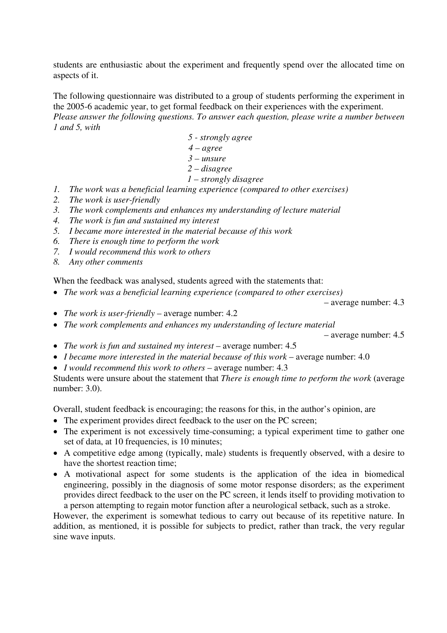students are enthusiastic about the experiment and frequently spend over the allocated time on aspects of it.

The following questionnaire was distributed to a group of students performing the experiment in the 2005-6 academic year, to get formal feedback on their experiences with the experiment. *Please answer the following questions. To answer each question, please write a number between 1 and 5, with* 

- *5 strongly agree*
- *4 agree*
- *3 unsure*
- *2 disagree*
- *1 strongly disagree*
- *1. The work was a beneficial learning experience (compared to other exercises)*
- *2. The work is user-friendly*
- *3. The work complements and enhances my understanding of lecture material*
- *4. The work is fun and sustained my interest*
- *5. I became more interested in the material because of this work*
- *6. There is enough time to perform the work*
- *7. I would recommend this work to others*
- *8. Any other comments*

When the feedback was analysed, students agreed with the statements that:

• *The work was a beneficial learning experience (compared to other exercises)* 

– average number: 4.3

- *The work is user-friendly average number:* 4.2
- *The work complements and enhances my understanding of lecture material*

– average number: 4.5

- *The work is fun and sustained my interest* average number: 4.5
- *I became more interested in the material because of this work* average number: 4.0
- *I would recommend this work to others* average number: 4.3

Students were unsure about the statement that *There is enough time to perform the work* (average number: 3.0).

Overall, student feedback is encouraging; the reasons for this, in the author's opinion, are

- The experiment provides direct feedback to the user on the PC screen;
- The experiment is not excessively time-consuming; a typical experiment time to gather one set of data, at 10 frequencies, is 10 minutes;
- A competitive edge among (typically, male) students is frequently observed, with a desire to have the shortest reaction time;
- A motivational aspect for some students is the application of the idea in biomedical engineering, possibly in the diagnosis of some motor response disorders; as the experiment provides direct feedback to the user on the PC screen, it lends itself to providing motivation to a person attempting to regain motor function after a neurological setback, such as a stroke.

However, the experiment is somewhat tedious to carry out because of its repetitive nature. In addition, as mentioned, it is possible for subjects to predict, rather than track, the very regular sine wave inputs.